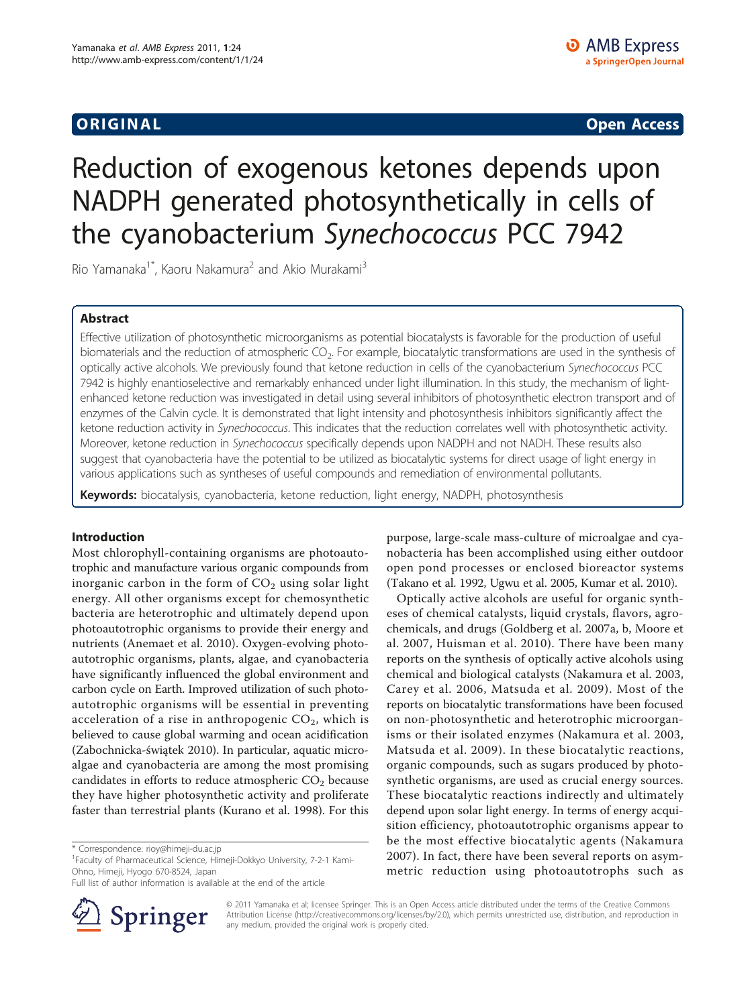ORIGINA L Open Access

# Reduction of exogenous ketones depends upon NADPH generated photosynthetically in cells of the cyanobacterium Synechococcus PCC 7942

Rio Yamanaka<sup>1\*</sup>, Kaoru Nakamura<sup>2</sup> and Akio Murakami<sup>3</sup>

# Abstract

Effective utilization of photosynthetic microorganisms as potential biocatalysts is favorable for the production of useful biomaterials and the reduction of atmospheric  $CO<sub>2</sub>$ . For example, biocatalytic transformations are used in the synthesis of optically active alcohols. We previously found that ketone reduction in cells of the cyanobacterium Synechococcus PCC 7942 is highly enantioselective and remarkably enhanced under light illumination. In this study, the mechanism of lightenhanced ketone reduction was investigated in detail using several inhibitors of photosynthetic electron transport and of enzymes of the Calvin cycle. It is demonstrated that light intensity and photosynthesis inhibitors significantly affect the ketone reduction activity in Synechococcus. This indicates that the reduction correlates well with photosynthetic activity. Moreover, ketone reduction in Synechococcus specifically depends upon NADPH and not NADH. These results also suggest that cyanobacteria have the potential to be utilized as biocatalytic systems for direct usage of light energy in various applications such as syntheses of useful compounds and remediation of environmental pollutants.

Keywords: biocatalysis, cyanobacteria, ketone reduction, light energy, NADPH, photosynthesis

# Introduction

Most chlorophyll-containing organisms are photoautotrophic and manufacture various organic compounds from inorganic carbon in the form of  $CO<sub>2</sub>$  using solar light energy. All other organisms except for chemosynthetic bacteria are heterotrophic and ultimately depend upon photoautotrophic organisms to provide their energy and nutrients ([Anemaet et al. 2010](#page-6-0)). Oxygen-evolving photoautotrophic organisms, plants, algae, and cyanobacteria have significantly influenced the global environment and carbon cycle on Earth. Improved utilization of such photoautotrophic organisms will be essential in preventing acceleration of a rise in anthropogenic  $CO<sub>2</sub>$ , which is believed to cause global warming and ocean acidification ([Zabochnicka-](#page-7-0)świątek 2010). In particular, aquatic microalgae and cyanobacteria are among the most promising candidates in efforts to reduce atmospheric  $CO<sub>2</sub>$  because they have higher photosynthetic activity and proliferate faster than terrestrial plants ([Kurano et al. 1998\)](#page-6-0). For this

<sup>1</sup> Faculty of Pharmaceutical Science, Himeji-Dokkyo University, 7-2-1 Kami-Ohno, Himeji, Hyogo 670-8524, Japan

Full list of author information is available at the end of the article



purpose, large-scale mass-culture of microalgae and cyanobacteria has been accomplished using either outdoor open pond processes or enclosed bioreactor systems ([Takano et al. 1992](#page-6-0), [Ugwu et al. 2005, Kumar et al. 2010\)](#page-6-0).

Optically active alcohols are useful for organic syntheses of chemical catalysts, liquid crystals, flavors, agrochemicals, and drugs [\(Goldberg et al. 2007a](#page-6-0), [b, Moore et](#page-6-0) [al. 2007, Huisman et al. 2010](#page-6-0)). There have been many reports on the synthesis of optically active alcohols using chemical and biological catalysts ([Nakamura et al. 2003](#page-6-0), [Carey et al. 2006](#page-6-0), [Matsuda et al. 2009](#page-6-0)). Most of the reports on biocatalytic transformations have been focused on non-photosynthetic and heterotrophic microorganisms or their isolated enzymes ([Nakamura et al. 2003](#page-6-0), [Matsuda et al. 2009\)](#page-6-0). In these biocatalytic reactions, organic compounds, such as sugars produced by photosynthetic organisms, are used as crucial energy sources. These biocatalytic reactions indirectly and ultimately depend upon solar light energy. In terms of energy acquisition efficiency, photoautotrophic organisms appear to be the most effective biocatalytic agents ([Nakamura](#page-6-0) [2007](#page-6-0)). In fact, there have been several reports on asymmetric reduction using photoautotrophs such as

© 2011 Yamanaka et al; licensee Springer. This is an Open Access article distributed under the terms of the Creative Commons Attribution License [\(http://creativecommons.org/licenses/by/2.0](http://creativecommons.org/licenses/by/2.0)), which permits unrestricted use, distribution, and reproduction in any medium, provided the original work is properly cited.

<sup>\*</sup> Correspondence: [rioy@himeji-du.ac.jp](mailto:rioy@himeji-du.ac.jp)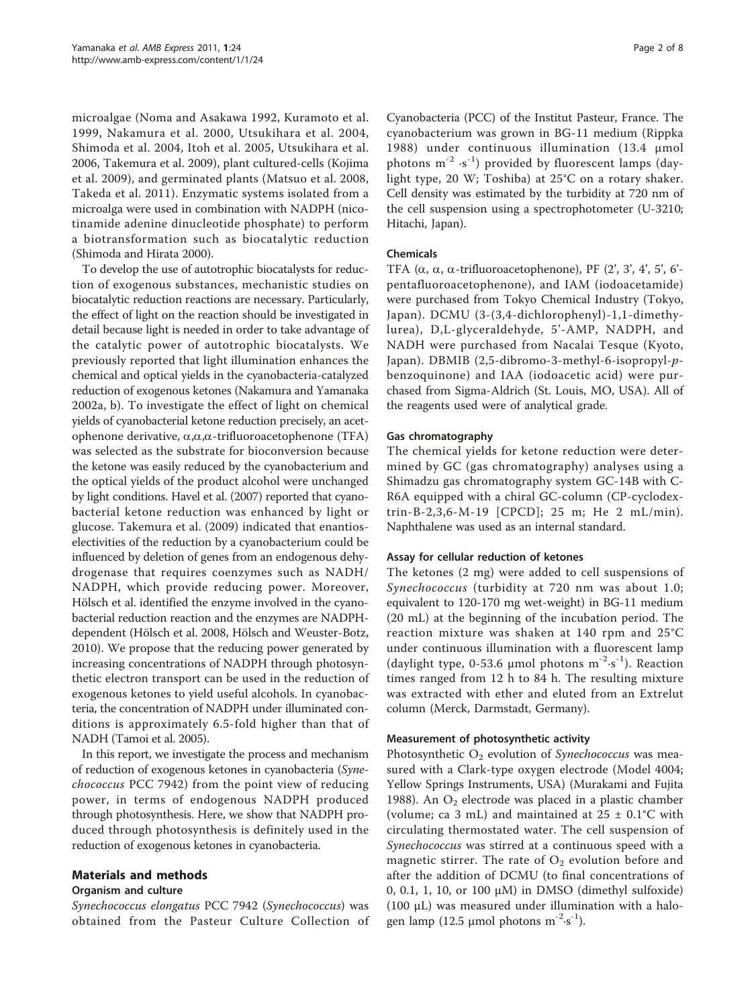microalgae ([Noma and Asakawa 1992](#page-6-0), [Kuramoto et al.](#page-6-0) [1999](#page-6-0), [Nakamura et al. 2000,](#page-6-0) [Utsukihara et al. 2004](#page-7-0), [Shimoda et al. 2004](#page-6-0), [Itoh et al. 2005,](#page-6-0) [Utsukihara et al.](#page-7-0) [2006](#page-7-0), [Takemura et al. 2009\)](#page-6-0), plant cultured-cells [\(Kojima](#page-6-0) [et al. 2009](#page-6-0)), and germinated plants ([Matsuo et al. 2008](#page-6-0), [Takeda et al. 2011\)](#page-6-0). Enzymatic systems isolated from a microalga were used in combination with NADPH (nicotinamide adenine dinucleotide phosphate) to perform a biotransformation such as biocatalytic reduction ([Shimoda and Hirata 2000](#page-6-0)).

To develop the use of autotrophic biocatalysts for reduction of exogenous substances, mechanistic studies on biocatalytic reduction reactions are necessary. Particularly, the effect of light on the reaction should be investigated in detail because light is needed in order to take advantage of the catalytic power of autotrophic biocatalysts. We previously reported that light illumination enhances the chemical and optical yields in the cyanobacteria-catalyzed reduction of exogenous ketones ([Nakamura and Yamanaka](#page-6-0) [2002a, b](#page-6-0)). To investigate the effect of light on chemical yields of cyanobacterial ketone reduction precisely, an acetophenone derivative,  $\alpha, \alpha, \alpha$ -trifluoroacetophenone (TFA) was selected as the substrate for bioconversion because the ketone was easily reduced by the cyanobacterium and the optical yields of the product alcohol were unchanged by light conditions. [Havel et al. \(2007\)](#page-6-0) reported that cyanobacterial ketone reduction was enhanced by light or glucose. [Takemura et al. \(2009\)](#page-6-0) indicated that enantioselectivities of the reduction by a cyanobacterium could be influenced by deletion of genes from an endogenous dehydrogenase that requires coenzymes such as NADH/ NADPH, which provide reducing power. Moreover, Hölsch et al. identified the enzyme involved in the cyanobacterial reduction reaction and the enzymes are NADPHdependent [\(Hölsch et al. 2008](#page-6-0), [Hölsch and Weuster-Botz,](#page-6-0) [2010](#page-6-0)). We propose that the reducing power generated by increasing concentrations of NADPH through photosynthetic electron transport can be used in the reduction of exogenous ketones to yield useful alcohols. In cyanobacteria, the concentration of NADPH under illuminated conditions is approximately 6.5-fold higher than that of NADH ([Tamoi et al. 2005\)](#page-6-0).

In this report, we investigate the process and mechanism of reduction of exogenous ketones in cyanobacteria (Synechococcus PCC 7942) from the point view of reducing power, in terms of endogenous NADPH produced through photosynthesis. Here, we show that NADPH produced through photosynthesis is definitely used in the reduction of exogenous ketones in cyanobacteria.

# Materials and methods

# Organism and culture

Synechococcus elongatus PCC 7942 (Synechococcus) was obtained from the Pasteur Culture Collection of

Cyanobacteria (PCC) of the Institut Pasteur, France. The cyanobacterium was grown in BG-11 medium [\(Rippka](#page-6-0) [1988](#page-6-0)) under continuous illumination (13.4 μmol photons  $m^{-2}$  ·s<sup>-1</sup>) provided by fluorescent lamps (daylight type, 20 W; Toshiba) at 25°C on a rotary shaker. Cell density was estimated by the turbidity at 720 nm of the cell suspension using a spectrophotometer (U-3210; Hitachi, Japan).

# Chemicals

TFA  $(\alpha, \alpha, \alpha$ -trifluoroacetophenone), PF  $(2', 3', 4', 5', 6')$ pentafluoroacetophenone), and IAM (iodoacetamide) were purchased from Tokyo Chemical Industry (Tokyo, Japan). DCMU (3-(3,4-dichlorophenyl)-1,1-dimethylurea), D,L-glyceraldehyde, 5'-AMP, NADPH, and NADH were purchased from Nacalai Tesque (Kyoto, Japan). DBMIB (2,5-dibromo-3-methyl-6-isopropyl-pbenzoquinone) and IAA (iodoacetic acid) were purchased from Sigma-Aldrich (St. Louis, MO, USA). All of the reagents used were of analytical grade.

# Gas chromatography

The chemical yields for ketone reduction were determined by GC (gas chromatography) analyses using a Shimadzu gas chromatography system GC-14B with C-R6A equipped with a chiral GC-column (CP-cyclodextrin-B-2,3,6-M-19 [CPCD]; 25 m; He 2 mL/min). Naphthalene was used as an internal standard.

# Assay for cellular reduction of ketones

The ketones (2 mg) were added to cell suspensions of Synechococcus (turbidity at 720 nm was about 1.0; equivalent to 120-170 mg wet-weight) in BG-11 medium (20 mL) at the beginning of the incubation period. The reaction mixture was shaken at 140 rpm and 25°C under continuous illumination with a fluorescent lamp (daylight type, 0-53.6  $\mu$ mol photons m<sup>-2</sup>·s<sup>-1</sup>). Reaction times ranged from 12 h to 84 h. The resulting mixture was extracted with ether and eluted from an Extrelut column (Merck, Darmstadt, Germany).

# Measurement of photosynthetic activity

Photosynthetic  $O_2$  evolution of Synechococcus was measured with a Clark-type oxygen electrode (Model 4004; Yellow Springs Instruments, USA) [\(Murakami and Fujita](#page-6-0) [1988\)](#page-6-0). An  $O_2$  electrode was placed in a plastic chamber (volume; ca 3 mL) and maintained at  $25 \pm 0.1$ °C with circulating thermostated water. The cell suspension of Synechococcus was stirred at a continuous speed with a magnetic stirrer. The rate of  $O_2$  evolution before and after the addition of DCMU (to final concentrations of 0, 0.1, 1, 10, or 100 μM) in DMSO (dimethyl sulfoxide) (100 μL) was measured under illumination with a halogen lamp (12.5 µmol photons  $m^{-2} \cdot s^{-1}$ ).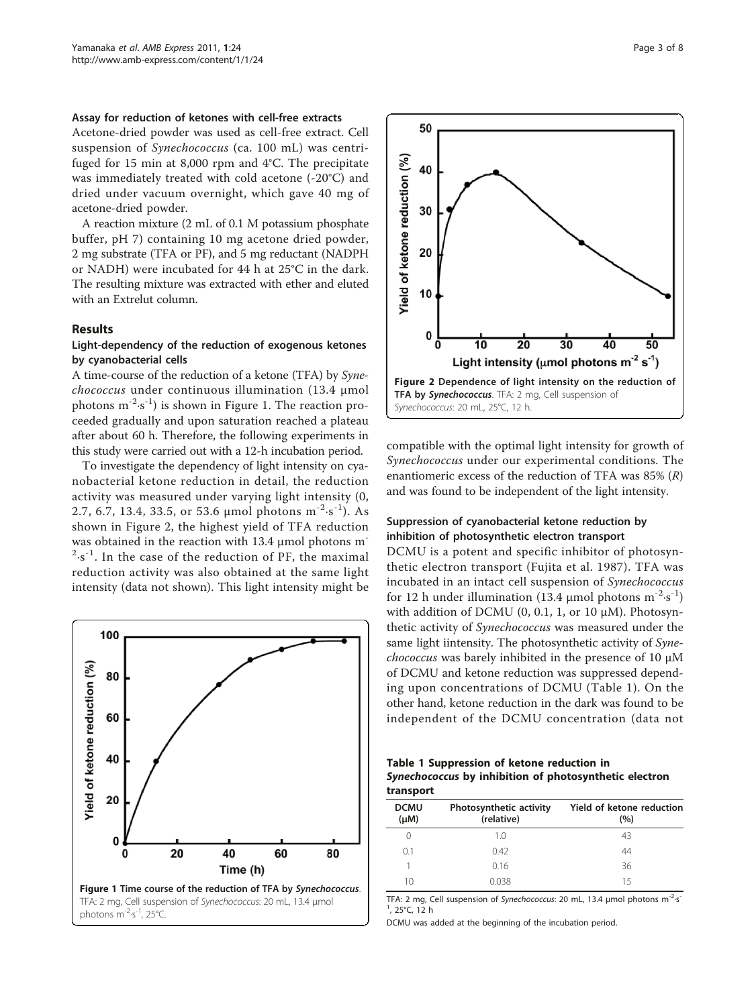#### <span id="page-2-0"></span>Assay for reduction of ketones with cell-free extracts

Acetone-dried powder was used as cell-free extract. Cell suspension of Synechococcus (ca. 100 mL) was centrifuged for 15 min at 8,000 rpm and 4°C. The precipitate was immediately treated with cold acetone (-20°C) and dried under vacuum overnight, which gave 40 mg of acetone-dried powder.

A reaction mixture (2 mL of 0.1 M potassium phosphate buffer, pH 7) containing 10 mg acetone dried powder, 2 mg substrate (TFA or PF), and 5 mg reductant (NADPH or NADH) were incubated for 44 h at 25°C in the dark. The resulting mixture was extracted with ether and eluted with an Extrelut column.

#### Results

# Light-dependency of the reduction of exogenous ketones by cyanobacterial cells

A time-course of the reduction of a ketone (TFA) by Synechococcus under continuous illumination (13.4 <sup>μ</sup>mol photons  $m^{-2} \cdot s^{-1}$ ) is shown in Figure 1. The reaction proceeded gradually and upon saturation reached a plateau after about 60 h. Therefore, the following experiments in this study were carried out with a 12-h incubation period.

To investigate the dependency of light intensity on cyanobacterial ketone reduction in detail, the reduction activity was measured under varying light intensity (0, 2.7, 6.7, 13.4, 33.5, or 53.6 µmol photons  $m^{-2} \cdot s^{-1}$ ). As shown in Figure 2, the highest yield of TFA reduction was obtained in the reaction with 13.4 μmol photons m<sup>-</sup>  $2 \cdot s^{-1}$ . In the case of the reduction of PF, the maximal reduction activity was also obtained at the same light intensity (data not shown). This light intensity might be





compatible with the optimal light intensity for growth of Synechococcus under our experimental conditions. The enantiomeric excess of the reduction of TFA was  $85\%$   $(R)$ and was found to be independent of the light intensity.

# Suppression of cyanobacterial ketone reduction by inhibition of photosynthetic electron transport

DCMU is a potent and specific inhibitor of photosynthetic electron transport ([Fujita et al. 1987](#page-6-0)). TFA was incubated in an intact cell suspension of Synechococcus for 12 h under illumination (13.4 µmol photons  $m^{-2} \cdot s^{-1}$ ) with addition of DCMU (0, 0.1, 1, or 10 μM). Photosynthetic activity of Synechococcus was measured under the same light iintensity. The photosynthetic activity of Synechococcus was barely inhibited in the presence of 10 <sup>μ</sup><sup>M</sup> of DCMU and ketone reduction was suppressed depending upon concentrations of DCMU (Table 1). On the other hand, ketone reduction in the dark was found to be independent of the DCMU concentration (data not

Table 1 Suppression of ketone reduction in Synechococcus by inhibition of photosynthetic electron transport

| <b>DCMU</b><br>$(\mu M)$ | Photosynthetic activity<br>(relative) | Yield of ketone reduction<br>(9/0) |
|--------------------------|---------------------------------------|------------------------------------|
| $\left( \right)$         | 1.0                                   | 43                                 |
| 0.1                      | 0.42                                  | 44                                 |
|                          | 0.16                                  | 36                                 |
| 10                       | 0.038                                 | 15                                 |

TFA: 2 mg, Cell suspension of Synechococcus: 20 mL, 13.4 μmol photons m<sup>-2</sup>·s<sup>-</sup> 1 , 25°C, 12 h

DCMU was added at the beginning of the incubation period.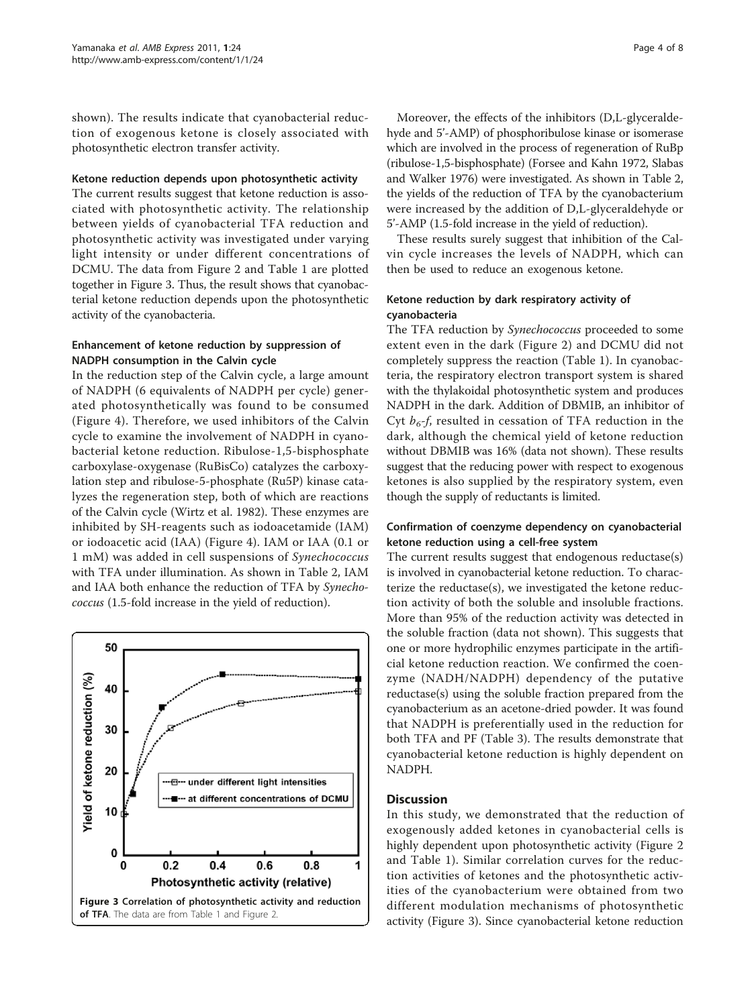shown). The results indicate that cyanobacterial reduction of exogenous ketone is closely associated with photosynthetic electron transfer activity.

#### Ketone reduction depends upon photosynthetic activity

The current results suggest that ketone reduction is associated with photosynthetic activity. The relationship between yields of cyanobacterial TFA reduction and photosynthetic activity was investigated under varying light intensity or under different concentrations of DCMU. The data from Figure [2](#page-2-0) and Table [1](#page-2-0) are plotted together in Figure 3. Thus, the result shows that cyanobacterial ketone reduction depends upon the photosynthetic activity of the cyanobacteria.

# Enhancement of ketone reduction by suppression of NADPH consumption in the Calvin cycle

In the reduction step of the Calvin cycle, a large amount of NADPH (6 equivalents of NADPH per cycle) generated photosynthetically was found to be consumed (Figure [4\)](#page-4-0). Therefore, we used inhibitors of the Calvin cycle to examine the involvement of NADPH in cyanobacterial ketone reduction. Ribulose-1,5-bisphosphate carboxylase-oxygenase (RuBisCo) catalyzes the carboxylation step and ribulose-5-phosphate (Ru5P) kinase catalyzes the regeneration step, both of which are reactions of the Calvin cycle ([Wirtz et al. 1982\)](#page-7-0). These enzymes are inhibited by SH-reagents such as iodoacetamide (IAM) or iodoacetic acid (IAA) (Figure [4](#page-4-0)). IAM or IAA (0.1 or 1 mM) was added in cell suspensions of Synechococcus with TFA under illumination. As shown in Table [2](#page-4-0), IAM and IAA both enhance the reduction of TFA by Synechococcus (1.5-fold increase in the yield of reduction).



Moreover, the effects of the inhibitors (D,L-glyceraldehyde and 5'-AMP) of phosphoribulose kinase or isomerase which are involved in the process of regeneration of RuBp (ribulose-1,5-bisphosphate) [\(Forsee and Kahn 1972, Slabas](#page-6-0) [and Walker 1976\)](#page-6-0) were investigated. As shown in Table [2](#page-4-0), the yields of the reduction of TFA by the cyanobacterium were increased by the addition of D,L-glyceraldehyde or 5'-AMP (1.5-fold increase in the yield of reduction).

These results surely suggest that inhibition of the Calvin cycle increases the levels of NADPH, which can then be used to reduce an exogenous ketone.

# Ketone reduction by dark respiratory activity of cyanobacteria

The TFA reduction by *Synechococcus* proceeded to some extent even in the dark (Figure [2\)](#page-2-0) and DCMU did not completely suppress the reaction (Table [1](#page-2-0)). In cyanobacteria, the respiratory electron transport system is shared with the thylakoidal photosynthetic system and produces NADPH in the dark. Addition of DBMIB, an inhibitor of Cyt  $b_6$ -f, resulted in cessation of TFA reduction in the dark, although the chemical yield of ketone reduction without DBMIB was 16% (data not shown). These results suggest that the reducing power with respect to exogenous ketones is also supplied by the respiratory system, even though the supply of reductants is limited.

# Confirmation of coenzyme dependency on cyanobacterial ketone reduction using a cell-free system

The current results suggest that endogenous reductase(s) is involved in cyanobacterial ketone reduction. To characterize the reductase(s), we investigated the ketone reduction activity of both the soluble and insoluble fractions. More than 95% of the reduction activity was detected in the soluble fraction (data not shown). This suggests that one or more hydrophilic enzymes participate in the artificial ketone reduction reaction. We confirmed the coenzyme (NADH/NADPH) dependency of the putative reductase(s) using the soluble fraction prepared from the cyanobacterium as an acetone-dried powder. It was found that NADPH is preferentially used in the reduction for both TFA and PF (Table [3\)](#page-5-0). The results demonstrate that cyanobacterial ketone reduction is highly dependent on NADPH.

# **Discussion**

In this study, we demonstrated that the reduction of exogenously added ketones in cyanobacterial cells is highly dependent upon photosynthetic activity (Figure [2](#page-2-0) and Table [1\)](#page-2-0). Similar correlation curves for the reduction activities of ketones and the photosynthetic activities of the cyanobacterium were obtained from two different modulation mechanisms of photosynthetic activity (Figure 3). Since cyanobacterial ketone reduction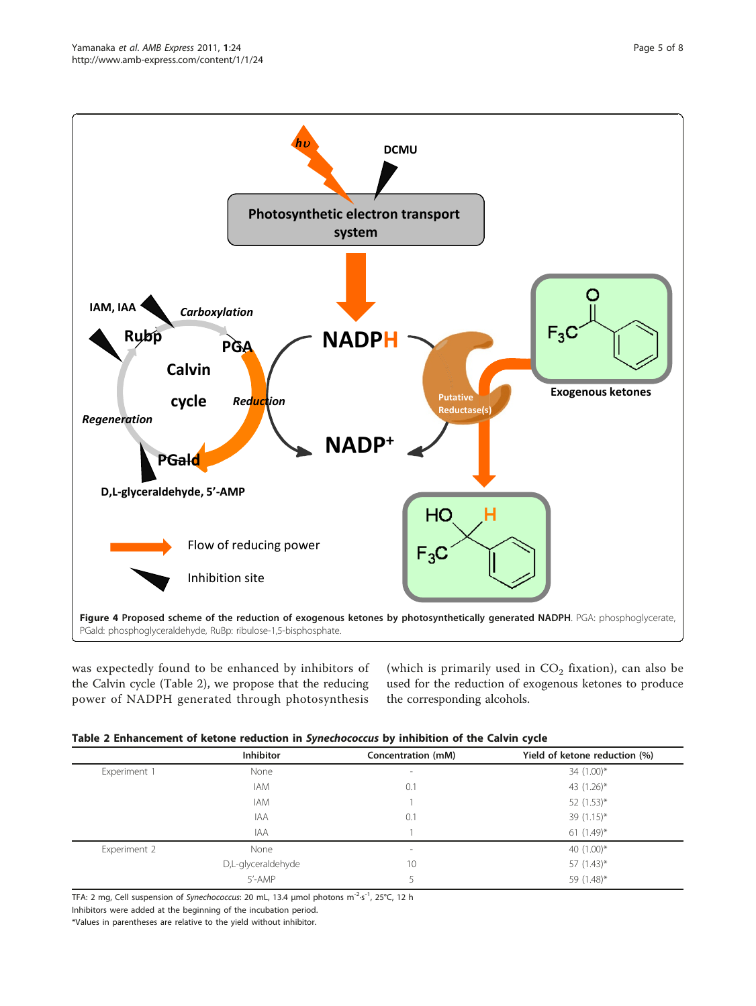<span id="page-4-0"></span>

was expectedly found to be enhanced by inhibitors of the Calvin cycle (Table 2), we propose that the reducing power of NADPH generated through photosynthesis

(which is primarily used in  $CO<sub>2</sub>$  fixation), can also be used for the reduction of exogenous ketones to produce the corresponding alcohols.

|  |  | Table 2 Enhancement of ketone reduction in Synechococcus by inhibition of the Calvin cycle |  |  |  |
|--|--|--------------------------------------------------------------------------------------------|--|--|--|
|  |  |                                                                                            |  |  |  |

| <b>Inhibitor</b>   | Concentration (mM) | Yield of ketone reduction (%) |
|--------------------|--------------------|-------------------------------|
| None               | $\sim$             | 34 (1.00)*                    |
| <b>IAM</b>         | 0.1                | 43 (1.26)*                    |
| <b>IAM</b>         |                    | 52 $(1.53)^*$                 |
| <b>IAA</b>         | 0.1                | 39 $(1.15)^*$                 |
| <b>IAA</b>         |                    | 61 $(1.49)^*$                 |
| None               | $\sim$             | 40 $(1.00)^*$                 |
| D,L-glyceraldehyde | 10                 | 57 $(1.43)^*$                 |
| 5'-AMP             |                    | 59 (1.48)*                    |
|                    |                    |                               |

TFA: 2 mg, Cell suspension of Synechococcus: 20 mL, 13.4 μmol photons m<sup>-2</sup>·s<sup>-1</sup>, 25°C, 12 h

Inhibitors were added at the beginning of the incubation period.

<sup>\*</sup>Values in parentheses are relative to the yield without inhibitor.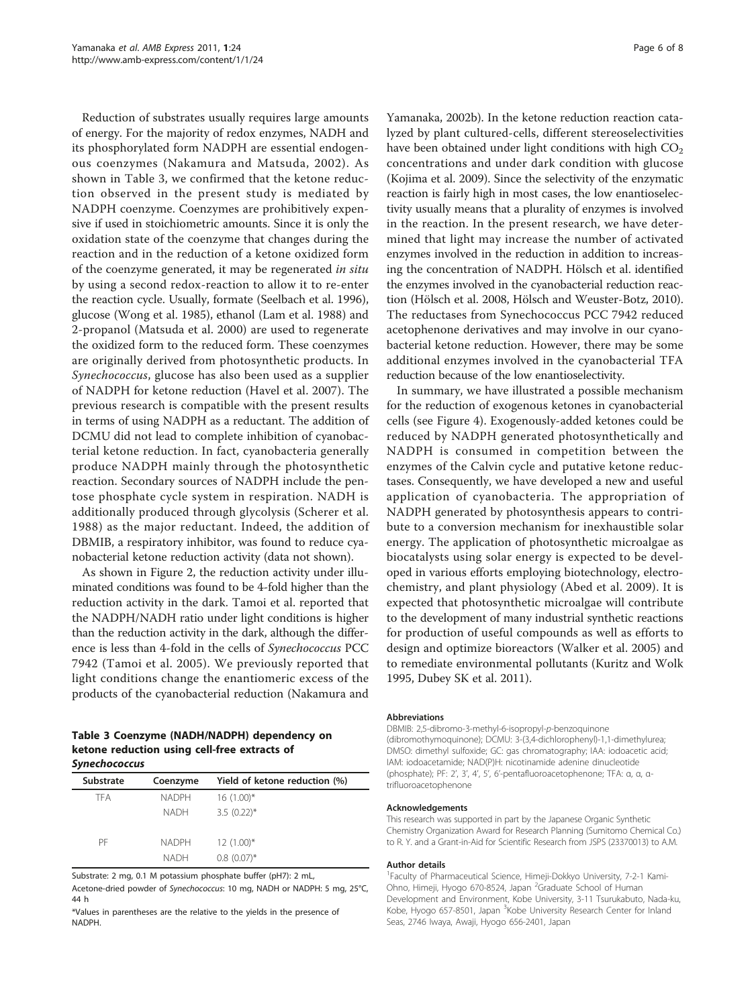<span id="page-5-0"></span>Reduction of substrates usually requires large amounts of energy. For the majority of redox enzymes, NADH and its phosphorylated form NADPH are essential endogenous coenzymes ([Nakamura and Matsuda, 2002](#page-6-0)). As shown in Table 3, we confirmed that the ketone reduction observed in the present study is mediated by NADPH coenzyme. Coenzymes are prohibitively expensive if used in stoichiometric amounts. Since it is only the oxidation state of the coenzyme that changes during the reaction and in the reduction of a ketone oxidized form of the coenzyme generated, it may be regenerated in situ by using a second redox-reaction to allow it to re-enter the reaction cycle. Usually, formate [\(Seelbach et al. 1996](#page-6-0)), glucose ([Wong et al. 1985\)](#page-7-0), ethanol ([Lam et al. 1988\)](#page-6-0) and 2-propanol [\(Matsuda et al. 2000](#page-6-0)) are used to regenerate the oxidized form to the reduced form. These coenzymes are originally derived from photosynthetic products. In Synechococcus, glucose has also been used as a supplier of NADPH for ketone reduction ([Havel et al. 2007\)](#page-6-0). The previous research is compatible with the present results in terms of using NADPH as a reductant. The addition of DCMU did not lead to complete inhibition of cyanobacterial ketone reduction. In fact, cyanobacteria generally produce NADPH mainly through the photosynthetic reaction. Secondary sources of NADPH include the pentose phosphate cycle system in respiration. NADH is additionally produced through glycolysis ([Scherer et al.](#page-6-0) [1988\)](#page-6-0) as the major reductant. Indeed, the addition of DBMIB, a respiratory inhibitor, was found to reduce cyanobacterial ketone reduction activity (data not shown).

As shown in Figure [2](#page-2-0), the reduction activity under illuminated conditions was found to be 4-fold higher than the reduction activity in the dark. Tamoi et al. reported that the NADPH/NADH ratio under light conditions is higher than the reduction activity in the dark, although the difference is less than 4-fold in the cells of Synechococcus PCC 7942 ([Tamoi et al. 2005\)](#page-6-0). We previously reported that light conditions change the enantiomeric excess of the products of the cyanobacterial reduction ([Nakamura and](#page-6-0)

#### Table 3 Coenzyme (NADH/NADPH) dependency on ketone reduction using cell-free extracts of Synechococcus

| <b>Substrate</b> | Coenzyme     | Yield of ketone reduction (%) |
|------------------|--------------|-------------------------------|
| TFA              | <b>NADPH</b> | $16(1.00)*$                   |
|                  | <b>NADH</b>  | $3.5(0.22)$ *                 |
| PF               | <b>NADPH</b> | $12(1.00)*$                   |
|                  | <b>NADH</b>  | $0.8(0.07)$ *                 |

Substrate: 2 mg, 0.1 M potassium phosphate buffer (pH7): 2 mL,

Acetone-dried powder of Synechococcus: 10 mg, NADH or NADPH: 5 mg, 25°C, 44 h

\*Values in parentheses are the relative to the yields in the presence of NADPH.

[Yamanaka, 2002b](#page-6-0)). In the ketone reduction reaction catalyzed by plant cultured-cells, different stereoselectivities have been obtained under light conditions with high  $CO<sub>2</sub>$ concentrations and under dark condition with glucose ([Kojima et al. 2009](#page-6-0)). Since the selectivity of the enzymatic reaction is fairly high in most cases, the low enantioselectivity usually means that a plurality of enzymes is involved in the reaction. In the present research, we have determined that light may increase the number of activated enzymes involved in the reduction in addition to increasing the concentration of NADPH. Hölsch et al. identified the enzymes involved in the cyanobacterial reduction reaction ([Hölsch et al. 2008](#page-6-0), [Hölsch and Weuster-Botz, 2010](#page-6-0)). The reductases from Synechococcus PCC 7942 reduced acetophenone derivatives and may involve in our cyanobacterial ketone reduction. However, there may be some additional enzymes involved in the cyanobacterial TFA reduction because of the low enantioselectivity.

In summary, we have illustrated a possible mechanism for the reduction of exogenous ketones in cyanobacterial cells (see Figure [4](#page-4-0)). Exogenously-added ketones could be reduced by NADPH generated photosynthetically and NADPH is consumed in competition between the enzymes of the Calvin cycle and putative ketone reductases. Consequently, we have developed a new and useful application of cyanobacteria. The appropriation of NADPH generated by photosynthesis appears to contribute to a conversion mechanism for inexhaustible solar energy. The application of photosynthetic microalgae as biocatalysts using solar energy is expected to be developed in various efforts employing biotechnology, electrochemistry, and plant physiology ([Abed et al. 2009\)](#page-6-0). It is expected that photosynthetic microalgae will contribute to the development of many industrial synthetic reactions for production of useful compounds as well as efforts to design and optimize bioreactors [\(Walker et al. 2005](#page-7-0)) and to remediate environmental pollutants [\(Kuritz and Wolk](#page-6-0) [1995](#page-6-0), [Dubey SK et al. 2011\)](#page-6-0).

#### Abbreviations

DBMIB: 2,5-dibromo-3-methyl-6-isopropyl-p-benzoquinone (dibromothymoquinone); DCMU: 3-(3,4-dichlorophenyl)-1,1-dimethylurea; DMSO: dimethyl sulfoxide; GC: gas chromatography; IAA: iodoacetic acid; IAM: iodoacetamide; NAD(P)H: nicotinamide adenine dinucleotide (phosphate); PF: 2', 3', 4', 5', 6'-pentafluoroacetophenone; TFA: α, α, αtrifluoroacetophenone

#### Acknowledgements

This research was supported in part by the Japanese Organic Synthetic Chemistry Organization Award for Research Planning (Sumitomo Chemical Co.) to R. Y. and a Grant-in-Aid for Scientific Research from JSPS (23370013) to A.M.

#### Author details

<sup>1</sup> Faculty of Pharmaceutical Science, Himeji-Dokkyo University, 7-2-1 Kami-Ohno, Himeji, Hyogo 670-8524, Japan <sup>2</sup>Graduate School of Human Development and Environment, Kobe University, 3-11 Tsurukabuto, Nada-ku, Kobe, Hyogo 657-8501, Japan <sup>3</sup>Kobe University Research Center for Inland Seas, 2746 Iwaya, Awaji, Hyogo 656-2401, Japan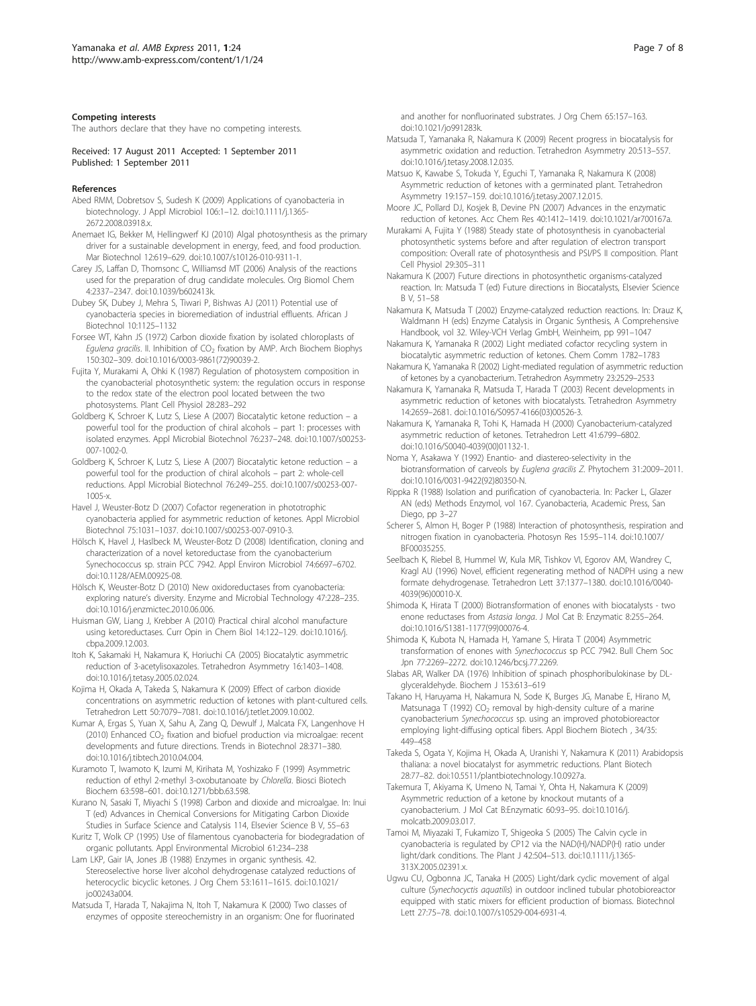#### <span id="page-6-0"></span>Competing interests

The authors declare that they have no competing interests.

Received: 17 August 2011 Accepted: 1 September 2011 Published: 1 September 2011

#### References

- Abed RMM, Dobretsov S, Sudesh K (2009) [Applications of cyanobacteria in](http://www.ncbi.nlm.nih.gov/pubmed/19191979?dopt=Abstract) [biotechnology.](http://www.ncbi.nlm.nih.gov/pubmed/19191979?dopt=Abstract) J Appl Microbiol 106:1–12. doi:10.1111/j.1365- 2672.2008.03918.x.
- Anemaet IG, Bekker M, Hellingwerf KJ (2010[\) Algal photosynthesis as the primary](http://www.ncbi.nlm.nih.gov/pubmed/20640935?dopt=Abstract) [driver for a sustainable development in energy, feed, and food production.](http://www.ncbi.nlm.nih.gov/pubmed/20640935?dopt=Abstract) Mar Biotechnol 12:619–629. doi:10.1007/s10126-010-9311-1.
- Carey JS, Laffan D, Thomsonc C, Williamsd MT (2006[\) Analysis of the reactions](http://www.ncbi.nlm.nih.gov/pubmed/16763676?dopt=Abstract) [used for the preparation of drug candidate molecules.](http://www.ncbi.nlm.nih.gov/pubmed/16763676?dopt=Abstract) Org Biomol Chem 4:2337–2347. doi:10.1039/b602413k.
- Dubey SK, Dubey J, Mehra S, Tiwari P, Bishwas AJ (2011) Potential use of cyanobacteria species in bioremediation of industrial effluents. African J Biotechnol 10:1125–1132
- Forsee WT, Kahn JS (1972) [Carbon dioxide fixation by isolated chloroplasts of](http://www.ncbi.nlm.nih.gov/pubmed/4402153?dopt=Abstract) Egulena gracilis. II. Inhibition of  $CO<sub>2</sub>$  [fixation by AMP.](http://www.ncbi.nlm.nih.gov/pubmed/4402153?dopt=Abstract) Arch Biochem Biophys 150:302–309. doi:10.1016/0003-9861(72)90039-2.
- Fujita Y, Murakami A, Ohki K (1987) Regulation of photosystem composition in the cyanobacterial photosynthetic system: the regulation occurs in response to the redox state of the electron pool located between the two photosystems. Plant Cell Physiol 28:283–292
- Goldberg K, Schroer K, Lutz S, Liese A (2007) Biocatalytic ketone reduction a powerful tool for the production of chiral alcohols – part 1: processes with isolated enzymes. Appl Microbial Biotechnol 76:237–248. doi:10.1007/s00253- 007-1002-0.
- Goldberg K, Schroer K, Lutz S, Liese A (2007) Biocatalytic ketone reduction a powerful tool for the production of chiral alcohols – part 2: whole-cell reductions. Appl Microbial Biotechnol 76:249–255. doi:10.1007/s00253-007- 1005-x.
- Havel J, Weuster-Botz D (2007) [Cofactor regeneration in phototrophic](http://www.ncbi.nlm.nih.gov/pubmed/17345080?dopt=Abstract) [cyanobacteria applied for asymmetric reduction of ketones.](http://www.ncbi.nlm.nih.gov/pubmed/17345080?dopt=Abstract) Appl Microbiol Biotechnol 75:1031–1037. doi:10.1007/s00253-007-0910-3.
- Hölsch K, Havel J, Haslbeck M, Weuster-Botz D (2008) [Identification, cloning and](http://www.ncbi.nlm.nih.gov/pubmed/18791006?dopt=Abstract) [characterization of a novel ketoreductase from the cyanobacterium](http://www.ncbi.nlm.nih.gov/pubmed/18791006?dopt=Abstract) [Synechococcus sp. strain PCC 7942.](http://www.ncbi.nlm.nih.gov/pubmed/18791006?dopt=Abstract) Appl Environ Microbiol 74:6697–6702. doi:10.1128/AEM.00925-08.
- Hölsch K, Weuster-Botz D (2010) New oxidoreductases from cyanobacteria: exploring nature's diversity. Enzyme and Microbial Technology 47:228–235. doi:10.1016/j.enzmictec.2010.06.006.
- Huisman GW, Liang J, Krebber A (2010) Practical chiral alcohol manufacture using ketoreductases. Curr Opin in Chem Biol 14:122–129. doi:10.1016/j. cbpa.2009.12.003.
- Itoh K, Sakamaki H, Nakamura K, Horiuchi CA (2005) Biocatalytic asymmetric reduction of 3-acetylisoxazoles. Tetrahedron Asymmetry 16:1403–1408. doi:10.1016/j.tetasy.2005.02.024.
- Kojima H, Okada A, Takeda S, Nakamura K (2009) Effect of carbon dioxide concentrations on asymmetric reduction of ketones with plant-cultured cells. Tetrahedron Lett 50:7079–7081. doi:10.1016/j.tetlet.2009.10.002.
- Kumar A, Ergas S, Yuan X, Sahu A, Zang Q, Dewulf J, Malcata FX, Langenhove H (2010) Enhanced  $CO<sub>2</sub>$  fixation and biofuel production via microalgae: recent developments and future directions. Trends in Biotechnol 28:371–380. doi:10.1016/j.tibtech.2010.04.004.
- Kuramoto T, Iwamoto K, Izumi M, Kirihata M, Yoshizako F (1999) Asymmetric reduction of ethyl 2-methyl 3-oxobutanoate by Chlorella. Biosci Biotech Biochem 63:598–601. doi:10.1271/bbb.63.598.
- Kurano N, Sasaki T, Miyachi S (1998) Carbon and dioxide and microalgae. In: Inui T (ed) Advances in Chemical Conversions for Mitigating Carbon Dioxide Studies in Surface Science and Catalysis 114, Elsevier Science B V, 55–63
- Kuritz T, Wolk CP (1995) Use of filamentous cyanobacteria for biodegradation of organic pollutants. Appl Environmental Microbiol 61:234–238
- Lam LKP, Gair IA, Jones JB (1988) Enzymes in organic synthesis. 42. Stereoselective horse liver alcohol dehydrogenase catalyzed reductions of heterocyclic bicyclic ketones. J Org Chem 53:1611–1615. doi:10.1021/ jo00243a004.
- Matsuda T, Harada T, Nakajima N, Itoh T, Nakamura K (2000[\) Two classes of](http://www.ncbi.nlm.nih.gov/pubmed/10813910?dopt=Abstract) [enzymes of opposite stereochemistry in an organism: One for fluorinated](http://www.ncbi.nlm.nih.gov/pubmed/10813910?dopt=Abstract)

[and another for nonfluorinated substrates.](http://www.ncbi.nlm.nih.gov/pubmed/10813910?dopt=Abstract) J Org Chem 65:157–163. doi:10.1021/jo991283k.

- Matsuda T, Yamanaka R, Nakamura K (2009) Recent progress in biocatalysis for asymmetric oxidation and reduction. Tetrahedron Asymmetry 20:513–557. doi:10.1016/j.tetasy.2008.12.035.
- Matsuo K, Kawabe S, Tokuda Y, Eguchi T, Yamanaka R, Nakamura K (2008) Asymmetric reduction of ketones with a germinated plant. Tetrahedron Asymmetry 19:157–159. doi:10.1016/j.tetasy.2007.12.015.
- Moore JC, Pollard DJ, Kosjek B, Devine PN (2007) [Advances in the enzymatic](http://www.ncbi.nlm.nih.gov/pubmed/18052114?dopt=Abstract) [reduction of ketones.](http://www.ncbi.nlm.nih.gov/pubmed/18052114?dopt=Abstract) Acc Chem Res 40:1412–1419. doi:10.1021/ar700167a.
- Murakami A, Fujita Y (1988) Steady state of photosynthesis in cyanobacterial photosynthetic systems before and after regulation of electron transport composition: Overall rate of photosynthesis and PSI/PS II composition. Plant Cell Physiol 29:305–311
- Nakamura K (2007) Future directions in photosynthetic organisms-catalyzed reaction. In: Matsuda T (ed) Future directions in Biocatalysts, Elsevier Science B V, 51–58
- Nakamura K, Matsuda T (2002) Enzyme-catalyzed reduction reactions. In: Drauz K, Waldmann H (eds) Enzyme Catalysis in Organic Synthesis, A Comprehensive Handbook, vol 32. Wiley-VCH Verlag GmbH, Weinheim, pp 991–1047
- Nakamura K, Yamanaka R (2002) Light mediated cofactor recycling system in biocatalytic asymmetric reduction of ketones. Chem Comm 1782–1783
- Nakamura K, Yamanaka R (2002) Light-mediated regulation of asymmetric reduction of ketones by a cyanobacterium. Tetrahedron Asymmetry 23:2529–2533
- Nakamura K, Yamanaka R, Matsuda T, Harada T (2003) Recent developments in asymmetric reduction of ketones with biocatalysts. Tetrahedron Asymmetry 14:2659–2681. doi:10.1016/S0957-4166(03)00526-3.
- Nakamura K, Yamanaka R, Tohi K, Hamada H (2000) Cyanobacterium-catalyzed asymmetric reduction of ketones. Tetrahedron Lett 41:6799–6802. doi:10.1016/S0040-4039(00)01132-1.
- Noma Y, Asakawa Y (1992) Enantio- and diastereo-selectivity in the biotransformation of carveols by Euglena gracilis Z. Phytochem 31:2009–2011. doi:10.1016/0031-9422(92)80350-N.
- Rippka R (1988[\) Isolation and purification of cyanobacteria.](http://www.ncbi.nlm.nih.gov/pubmed/3148836?dopt=Abstract) In: Packer L, Glazer AN (eds) Methods Enzymol, vol 167. Cyanobacteria, Academic Press, San Diego, pp 3–27
- Scherer S, Almon H, Boger P (1988) Interaction of photosynthesis, respiration and nitrogen fixation in cyanobacteria. Photosyn Res 15:95–114. doi:10.1007/ BF00035255.
- Seelbach K, Riebel B, Hummel W, Kula MR, Tishkov VI, Egorov AM, Wandrey C, Kragl AU (1996) Novel, efficient regenerating method of NADPH using a new formate dehydrogenase. Tetrahedron Lett 37:1377–1380. doi:10.1016/0040- 4039(96)00010-X.
- Shimoda K, Hirata T (2000) Biotransformation of enones with biocatalysts two enone reductases from Astasia longa. J Mol Cat B: Enzymatic 8:255–264. doi:10.1016/S1381-1177(99)00076-4.
- Shimoda K, Kubota N, Hamada H, Yamane S, Hirata T (2004) Asymmetric transformation of enones with Synechococcus sp PCC 7942. Bull Chem Soc Jpn 77:2269–2272. doi:10.1246/bcsj.77.2269.
- Slabas AR, Walker DA (1976[\) Inhibition of spinach phosphoribulokinase by DL](http://www.ncbi.nlm.nih.gov/pubmed/182116?dopt=Abstract)[glyceraldehyde.](http://www.ncbi.nlm.nih.gov/pubmed/182116?dopt=Abstract) Biochem J 153:613–619
- Takano H, Haruyama H, Nakamura N, Sode K, Burges JG, Manabe E, Hirano M, Matsunaga T (1992)  $CO<sub>2</sub>$  removal by high-density culture of a marine cyanobacterium Synechococcus sp. using an improved photobioreactor employing light-diffusing optical fibers. Appl Biochem Biotech , 34/35: 449–458
- Takeda S, Ogata Y, Kojima H, Okada A, Uranishi Y, Nakamura K (2011) Arabidopsis thaliana: a novel biocatalyst for asymmetric reductions. Plant Biotech 28:77–82. doi:10.5511/plantbiotechnology.10.0927a.
- Takemura T, Akiyama K, Umeno N, Tamai Y, Ohta H, Nakamura K (2009) Asymmetric reduction of a ketone by knockout mutants of a cyanobacterium. J Mol Cat B:Enzymatic 60:93–95. doi:10.1016/j. molcatb.2009.03.017.
- Tamoi M, Miyazaki T, Fukamizo T, Shigeoka S (2005) The Calvin cycle in cyanobacteria is regulated by CP12 via the NAD(H)/NADP(H) ratio under light/dark conditions. The Plant J 42:504–513. doi:10.1111/j.1365- 313X.2005.02391.x.
- Ugwu CU, Ogbonna JC, Tanaka H (2005[\) Light/dark cyclic movement of algal](http://www.ncbi.nlm.nih.gov/pubmed/15703867?dopt=Abstract) culture (Synechocyctis aquatilis[\) in outdoor inclined tubular photobioreactor](http://www.ncbi.nlm.nih.gov/pubmed/15703867?dopt=Abstract) [equipped with static mixers for efficient production of biomass.](http://www.ncbi.nlm.nih.gov/pubmed/15703867?dopt=Abstract) Biotechnol Lett 27:75–78. doi:10.1007/s10529-004-6931-4.